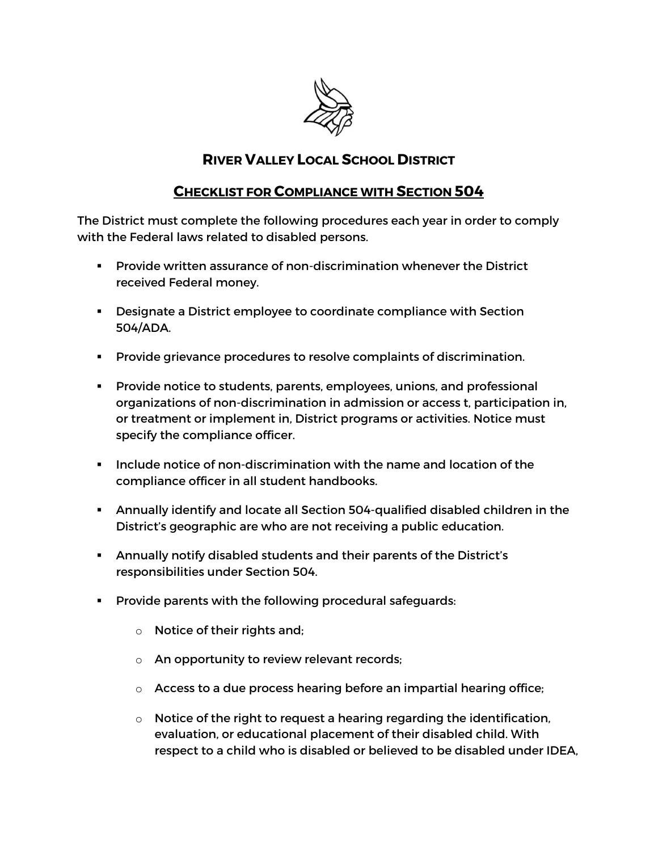

## **RIVER VALLEY LOCAL SCHOOL DISTRICT**

## **CHECKLIST FOR COMPLIANCE WITH SECTION 504**

The District must complete the following procedures each year in order to comply with the Federal laws related to disabled persons.

- § Provide written assurance of non-discrimination whenever the District received Federal money.
- **•** Designate a District employee to coordinate compliance with Section 504/ADA.
- § Provide grievance procedures to resolve complaints of discrimination.
- § Provide notice to students, parents, employees, unions, and professional organizations of non-discrimination in admission or access t, participation in, or treatment or implement in, District programs or activities. Notice must specify the compliance officer.
- § Include notice of non-discrimination with the name and location of the compliance officer in all student handbooks.
- § Annually identify and locate all Section 504-qualified disabled children in the District's geographic are who are not receiving a public education.
- § Annually notify disabled students and their parents of the District's responsibilities under Section 504.
- **Provide parents with the following procedural safeguards:** 
	- o Notice of their rights and;
	- o An opportunity to review relevant records;
	- $\circ$  Access to a due process hearing before an impartial hearing office;
	- $\circ$  Notice of the right to request a hearing regarding the identification, evaluation, or educational placement of their disabled child. With respect to a child who is disabled or believed to be disabled under IDEA,